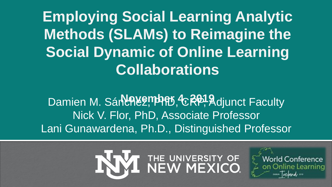**Employing Social Learning Analytic Methods (SLAMs) to Reimagine the Social Dynamic of Online Learning Collaborations**

**Damien M. Sánchez, Phat, 4, 2019 Adjunct Faculty** Nick V. Flor, PhD, Associate Professor Lani Gunawardena, Ph.D., Distinguished Professor



rld Conference line Learning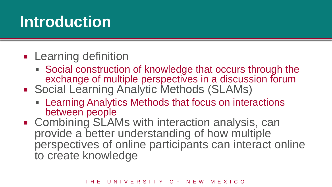## **Introduction**

- **Learning definition** 
	- Social construction of knowledge that occurs through the exchange of multiple perspectives in a discussion forum
- Social Learning Analytic Methods (SLAMs)
	- Learning Analytics Methods that focus on interactions between people
- **EXEDENT Combining SLAMs with interaction analysis, cand**provide a better understanding of how multiple perspectives of online participants can interact online to create knowledge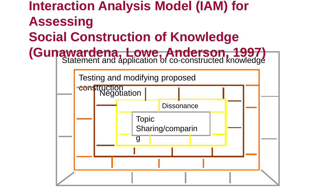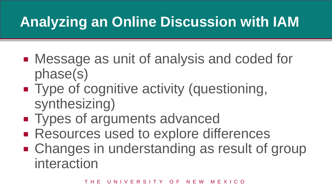## **Analyzing an Online Discussion with IAM**

- Message as unit of analysis and coded for phase(s)
- **Type of cognitive activity (questioning,** synthesizing)
- **Types of arguments advanced**
- **Resources used to explore differences**
- **Example 1** Changes in understanding as result of group interaction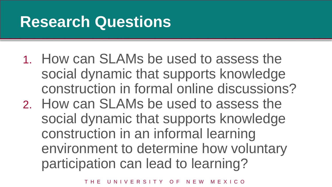## **Research Questions**

- 1. How can SLAMs be used to assess the social dynamic that supports knowledge construction in formal online discussions?
- 2. How can SLAMs be used to assess the social dynamic that supports knowledge construction in an informal learning environment to determine how voluntary participation can lead to learning?

T H E U N I V E R S I T Y O F N F W M F X I C O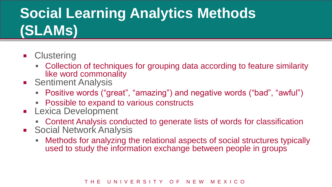## **Social Learning Analytics Methods (SLAMs)**

- **E** Clustering
	- Collection of techniques for grouping data according to feature similarity like word commonality
- **Sentiment Analysis** 
	- Positive words ("great", "amazing") and negative words ("bad", "awful")
	- **Possible to expand to various constructs**
- **Lexica Development** 
	- Content Analysis conducted to generate lists of words for classification
- **Social Network Analysis** 
	- Methods for analyzing the relational aspects of social structures typically used to study the information exchange between people in groups

#### THE UNIVERSITY OF NEW MEXICO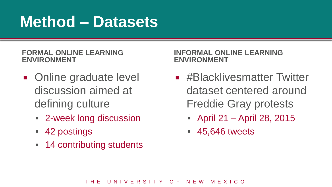## **Method – Datasets**

#### **FORMAL ONLINE LEARNING ENVIRONMENT**

- **Online graduate level** discussion aimed at defining culture
	- 2-week long discussion
	- 42 postings
	- **14 contributing students**

**INFORMAL ONLINE LEARNING ENVIRONMENT**

- **E** #Blacklivesmatter Twitter dataset centered around Freddie Gray protests
	- April 21 April 28, 2015
	- 45,646 tweets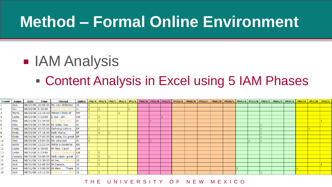## **Method – Formal Online Environment**

## **B** IAM Analysis

### **Content Analysis in Excel using 5 IAM Phases**

| Count | Name         | Date | Time | <b>Thread</b>                                  |            |  |  |  |  |  | Initial <mark>PhI/A PhI/B PhI/C PhI/C PhI/D PhI/E PhII/A PhII/A PhII/C PhIII/A PhIII/B PhIII/C PhIII/D PhIII/E PhIV/E PhIV/B PhIV/B PhIV/C PhIV/C PhIV/C PhV/A PhV/A PhV/B PhV/C</mark> |  |  |  |  |  |
|-------|--------------|------|------|------------------------------------------------|------------|--|--|--|--|--|-----------------------------------------------------------------------------------------------------------------------------------------------------------------------------------------|--|--|--|--|--|
|       | <b>Jack</b>  |      |      | 08/27/08 20:49:00 My own definition JG         |            |  |  |  |  |  |                                                                                                                                                                                         |  |  |  |  |  |
|       | Jan          |      |      | 08/28/08 8:32:00 I agree that there JL         |            |  |  |  |  |  |                                                                                                                                                                                         |  |  |  |  |  |
|       | Marta        |      |      | 08/28/08 21:16:00 When I think of              | <b>MM</b>  |  |  |  |  |  |                                                                                                                                                                                         |  |  |  |  |  |
|       | Leslie       |      |      | 08/29/08 9:02:00 I, too, am                    | <b>LW</b>  |  |  |  |  |  |                                                                                                                                                                                         |  |  |  |  |  |
|       | Alex         |      |      | 08/29/08 12:34:00 Jack, These are              | <b>AJ</b>  |  |  |  |  |  |                                                                                                                                                                                         |  |  |  |  |  |
|       | Alex         |      |      | 08/29/08 12:50:00 Hi Leslie, You               | A)         |  |  |  |  |  |                                                                                                                                                                                         |  |  |  |  |  |
|       | Emily        |      |      | 08/29/08 16:53:00 Defining culture             | <b>IFP</b> |  |  |  |  |  |                                                                                                                                                                                         |  |  |  |  |  |
|       | Emily        |      |      | 08/29/08 17:16:00 Hello Marta, I               | <b>IEP</b> |  |  |  |  |  |                                                                                                                                                                                         |  |  |  |  |  |
|       | Emily        |      |      | 08/29/08 17:43:00 Hi Leslie, Its great EP      |            |  |  |  |  |  |                                                                                                                                                                                         |  |  |  |  |  |
| 10    | <b>Alex</b>  |      |      | 08/29/08 13:04:00 My personal                  | A1         |  |  |  |  |  |                                                                                                                                                                                         |  |  |  |  |  |
| 11    | <b>Betty</b> |      |      | 08/29/08 22:22:00 What a devilishly            | <b>BS</b>  |  |  |  |  |  |                                                                                                                                                                                         |  |  |  |  |  |
| 12    | Leslie       |      |      | 08/30/08 8:00:00 Hi Alex, I just               | LW         |  |  |  |  |  |                                                                                                                                                                                         |  |  |  |  |  |
| 13    | Leslie       |      |      | 08/30/08 8:03:00 I agree, Emily, and LW        |            |  |  |  |  |  |                                                                                                                                                                                         |  |  |  |  |  |
| 14    |              |      |      | Cassidy 08/30/08 19:00:00 Hello class-great CJ |            |  |  |  |  |  |                                                                                                                                                                                         |  |  |  |  |  |
| 15    | l Jack       |      |      | 08/31/08 12:38:00 Hi Jan, I liked in JG        |            |  |  |  |  |  |                                                                                                                                                                                         |  |  |  |  |  |
| 16    | <b>Jack</b>  |      |      | 08/31/08 12:45:00 Hi Cassidy,                  | <b>JG</b>  |  |  |  |  |  |                                                                                                                                                                                         |  |  |  |  |  |
| 17    | Jack         |      |      | 08/31/08 13:00:00 Hi Alex! Thank JG            |            |  |  |  |  |  |                                                                                                                                                                                         |  |  |  |  |  |
| 18    | <b>Jack</b>  |      |      | 08/31/08 13:13:00 Hi Marta, I liked JG         |            |  |  |  |  |  |                                                                                                                                                                                         |  |  |  |  |  |
|       |              |      |      |                                                |            |  |  |  |  |  |                                                                                                                                                                                         |  |  |  |  |  |

#### T H E U N I V E R S I T Y O F N F W M F X I C O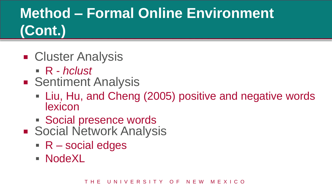## **Method – Formal Online Environment (Cont.)**

- Cluster Analysis
	- R *hclust*
- **Sentiment Analysis** 
	- Liu, Hu, and Cheng (2005) positive and negative words lexicon
	- Social presence words
- **Social Network Analysis** 
	- $R$  social edges
	- NodeXL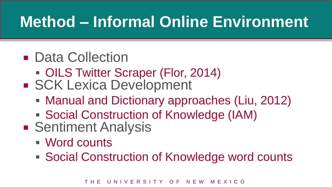## **Method – Informal Online Environment**

- Data Collection
	- OILS Twitter Scraper (Flor, 2014)
- **SCK Lexica Development** 
	- Manual and Dictionary approaches (Liu, 2012)
	- Social Construction of Knowledge (IAM)
- **Sentiment Analysis** 
	- Word counts

■ Social Construction of Knowledge word counts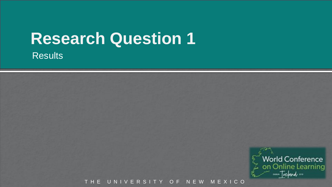## **Research Question 1**

**Results** 



THE UNIVERSITY OF NEW MEXICO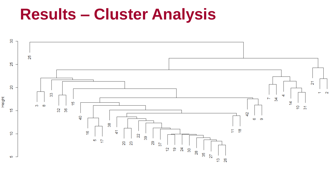### **Results – Cluster Analysis**

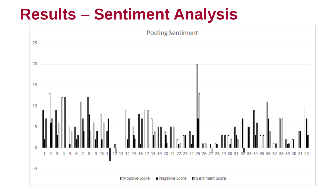## **Results – Sentiment Analysis**

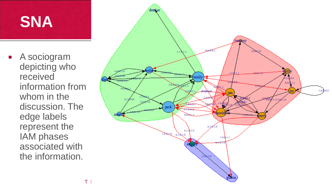## **SNA**

**A** sociogram depicting who received information from whom in the discussion. The edge labels represent the IAM phases associated with the information.

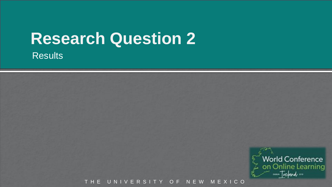## **Research Question 2**

**Results** 



THE UNIVERSITY OF NEW MEXICO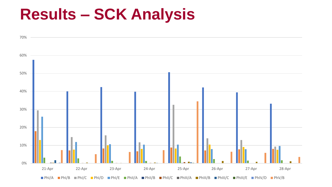## **Results – SCK Analysis**

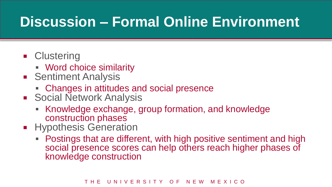## **Discussion – Formal Online Environment**

- **Clustering** 
	- Word choice similarity
- **Sentiment Analysis** 
	- Changes in attitudes and social presence
- **Social Network Analysis** 
	- Knowledge exchange, group formation, and knowledge construction phases
- **Hypothesis Generation** 
	- Postings that are different, with high positive sentiment and high social presence scores can help others reach higher phases of knowledge construction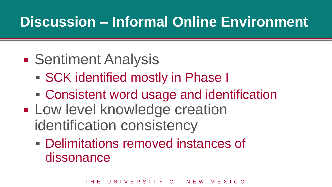## **Discussion – Informal Online Environment**

- **Sentiment Analysis** 
	- **SCK identified mostly in Phase I**
	- Consistent word usage and identification
- **Low level knowledge creation** identification consistency
	- Delimitations removed instances of dissonance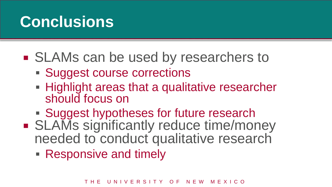## **Conclusions**

- **SLAMs can be used by researchers to** 
	- Suggest course corrections
	- **Highlight areas that a qualitative researcher** should focus on
	- **Suggest hypotheses for future research**
- **SLAMs significantly reduce time/money** needed to conduct qualitative research
	- Responsive and timely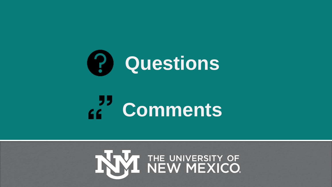

# **Comments**